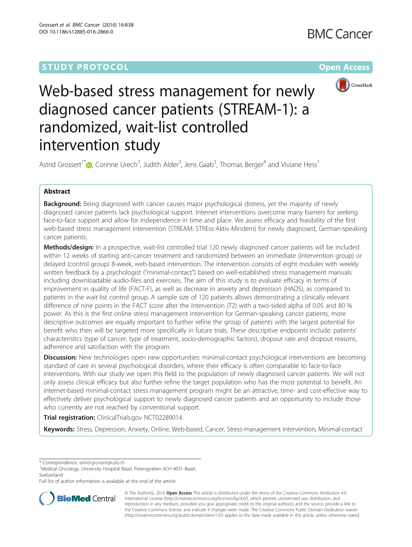## **STUDY PROTOCOL CONSUMING THE RESERVE ACCESS**



# Web-based stress management for newly diagnosed cancer patients (STREAM-1): a randomized, wait-list controlled intervention study

Astrid Grossert<sup>1[\\*](http://orcid.org/0000-0003-3217-6556)</sup> $\bullet$ , Corinne Urech<sup>2</sup>, Judith Alder<sup>3</sup>, Jens Gaab<sup>3</sup>, Thomas Berger<sup>4</sup> and Viviane Hess<sup>1</sup>

### Abstract

Background: Being diagnosed with cancer causes major psychological distress, yet the majority of newly diagnosed cancer patients lack psychological support. Internet interventions overcome many barriers for seeking face-to-face support and allow for independence in time and place. We assess efficacy and feasibility of the first web-based stress management intervention (STREAM: STREss-Aktiv-Mindern) for newly diagnosed, German-speaking cancer patients.

Methods/design: In a prospective, wait-list controlled trial 120 newly diagnosed cancer patients will be included within 12 weeks of starting anti-cancer treatment and randomized between an immediate (intervention group) or delayed (control group) 8-week, web-based intervention. The intervention consists of eight modules with weekly written feedback by a psychologist ("minimal-contact") based on well-established stress management manuals including downloadable audio-files and exercises. The aim of this study is to evaluate efficacy in terms of improvement in quality of life (FACT-F), as well as decrease in anxiety and depression (HADS), as compared to patients in the wait-list control group. A sample size of 120 patients allows demonstrating a clinically relevant difference of nine points in the FACT score after the intervention (T2) with a two-sided alpha of 0.05 and 80 % power. As this is the first online stress management intervention for German-speaking cancer patients, more descriptive outcomes are equally important to further refine the group of patients with the largest potential for benefit who then will be targeted more specifically in future trials. These descriptive endpoints include: patients' characteristics (type of cancer, type of treatment, socio-demographic factors), dropout rate and dropout reasons, adherence and satisfaction with the program.

Discussion: New technologies open new opportunities: minimal-contact psychological interventions are becoming standard of care in several psychological disorders, where their efficacy is often comparable to face-to-face interventions. With our study we open this field to the population of newly diagnosed cancer patients. We will not only assess clinical efficacy but also further refine the target population who has the most potential to benefit. An internet-based minimal-contact stress management program might be an attractive, time- and cost-effective way to effectively deliver psychological support to newly diagnosed cancer patients and an opportunity to include those who currently are not reached by conventional support.

Trial registration: ClinicalTrials.gov [NCT02289014](https://www.clinicaltrials.gov/ct2/show/NCT02289014?term=NCT02289014&rank=1).

Keywords: Stress, Depression, Anxiety, Online, Web-based, Cancer, Stress-management intervention, Minimal-contact

\* Correspondence: [astrid.grossert@usb.ch](mailto:astrid.grossert@usb.ch) <sup>1</sup>

<sup>1</sup>Medical Oncology, University Hospital Basel, Petersgraben 4CH 4031 Basel, **Switzerland** 

Full list of author information is available at the end of the article



© The Author(s). 2016 Open Access This article is distributed under the terms of the Creative Commons Attribution 4.0 International License [\(http://creativecommons.org/licenses/by/4.0/](http://creativecommons.org/licenses/by/4.0/)), which permits unrestricted use, distribution, and reproduction in any medium, provided you give appropriate credit to the original author(s) and the source, provide a link to the Creative Commons license, and indicate if changes were made. The Creative Commons Public Domain Dedication waiver [\(http://creativecommons.org/publicdomain/zero/1.0/](http://creativecommons.org/publicdomain/zero/1.0/)) applies to the data made available in this article, unless otherwise stated.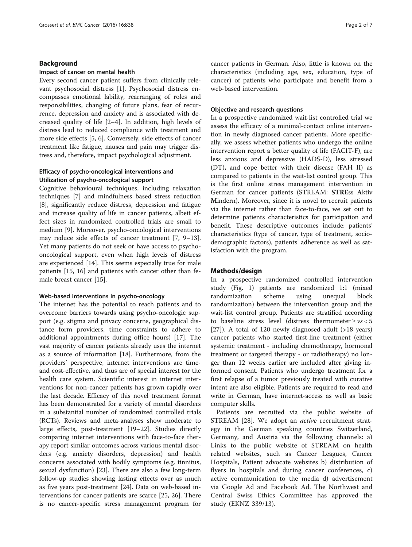#### Background

#### Impact of cancer on mental health

Every second cancer patient suffers from clinically relevant psychosocial distress [\[1\]](#page-5-0). Psychosocial distress encompasses emotional lability, rearranging of roles and responsibilities, changing of future plans, fear of recurrence, depression and anxiety and is associated with decreased quality of life [\[2](#page-5-0)–[4](#page-5-0)]. In addition, high levels of distress lead to reduced compliance with treatment and more side effects [\[5, 6\]](#page-5-0). Conversely, side effects of cancer treatment like fatigue, nausea and pain may trigger distress and, therefore, impact psychological adjustment.

#### Efficacy of psycho-oncological interventions and Utilization of psycho-oncological support

Cognitive behavioural techniques, including relaxation techniques [[7\]](#page-5-0) and mindfulness based stress reduction [[8\]](#page-5-0), significantly reduce distress, depression and fatigue and increase quality of life in cancer patients, albeit effect sizes in randomized controlled trials are small to medium [[9\]](#page-5-0). Moreover, psycho-oncological interventions may reduce side effects of cancer treatment [[7, 9](#page-5-0)–[13](#page-5-0)]. Yet many patients do not seek or have access to psychooncological support, even when high levels of distress are experienced [[14](#page-5-0)]. This seems especially true for male patients [[15](#page-5-0), [16\]](#page-5-0) and patients with cancer other than female breast cancer [[15](#page-5-0)].

#### Web-based interventions in psycho-oncology

The internet has the potential to reach patients and to overcome barriers towards using psycho-oncologic support (e.g. stigma and privacy concerns, geographical distance form providers, time constraints to adhere to additional appointments during office hours) [[17\]](#page-5-0). The vast majority of cancer patients already uses the internet as a source of information [\[18\]](#page-5-0). Furthermore, from the providers' perspective, internet interventions are timeand cost-effective, and thus are of special interest for the health care system. Scientific interest in internet interventions for non-cancer patients has grown rapidly over the last decade. Efficacy of this novel treatment format has been demonstrated for a variety of mental disorders in a substantial number of randomized controlled trials (RCTs). Reviews and meta-analyses show moderate to large effects, post-treatment [\[19](#page-5-0)–[22\]](#page-5-0). Studies directly comparing internet interventions with face-to-face therapy report similar outcomes across various mental disorders (e.g. anxiety disorders, depression) and health concerns associated with bodily symptoms (e.g. tinnitus, sexual dysfunction) [[23\]](#page-5-0). There are also a few long-term follow-up studies showing lasting effects over as much as five years post-treatment [[24](#page-5-0)]. Data on web-based interventions for cancer patients are scarce [[25, 26\]](#page-5-0). There is no cancer-specific stress management program for cancer patients in German. Also, little is known on the characteristics (including age, sex, education, type of cancer) of patients who participate and benefit from a web-based intervention.

#### Objective and research questions

In a prospective randomized wait-list controlled trial we assess the efficacy of a minimal-contact online intervention in newly diagnosed cancer patients. More specifically, we assess whether patients who undergo the online intervention report a better quality of life (FACIT-F), are less anxious and depressive (HADS-D), less stressed (DT), and cope better with their disease (FAH II) as compared to patients in the wait-list control group. This is the first online stress management intervention in German for cancer patients (STREAM: STREss Aktiv Mindern). Moreover, since it is novel to recruit patients via the internet rather than face-to-face, we set out to determine patients characteristics for participation and benefit. These descriptive outcomes include: patients' characteristics (type of cancer, type of treatment, sociodemographic factors), patients' adherence as well as satisfaction with the program.

#### Methods/design

In a prospective randomized controlled intervention study (Fig. [1](#page-2-0)) patients are randomized 1:1 (mixed randomization scheme using unequal block randomization) between the intervention group and the wait-list control group. Patients are stratified according to baseline stress level (distress thermometer  $\geq v s < 5$ [[27\]](#page-5-0)). A total of 120 newly diagnosed adult (>18 years) cancer patients who started first-line treatment (either systemic treatment - including chemotherapy, hormonal treatment or targeted therapy - or radiotherapy) no longer than 12 weeks earlier are included after giving informed consent. Patients who undergo treatment for a first relapse of a tumor previously treated with curative intent are also eligible. Patients are required to read and write in German, have internet-access as well as basic computer skills.

Patients are recruited via the public website of STREAM [[28\]](#page-6-0). We adopt an *active* recruitment strategy in the German speaking countries Switzerland, Germany, and Austria via the following channels: a) Links to the public website of STREAM on health related websites, such as Cancer Leagues, Cancer Hospitals, Patient advocate websites b) distribution of flyers in hospitals and during cancer conferences, c) active communication to the media d) advertisement via Google Ad and Facebook Ad. The Northwest and Central Swiss Ethics Committee has approved the study (EKNZ 339/13).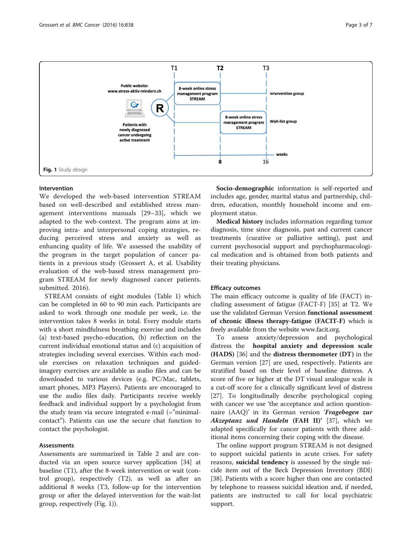

<span id="page-2-0"></span>

#### Intervention

We developed the web-based intervention STREAM based on well-described and established stress management interventions manuals [[29](#page-6-0)–[33\]](#page-6-0), which we adapted to the web-context. The program aims at improving intra- and interpersonal coping strategies, reducing perceived stress and anxiety as well as enhancing quality of life. We assessed the usability of the program in the target population of cancer patients in a previous study (Grossert A, et al. Usability evaluation of the web-based stress management program STREAM for newly diagnosed cancer patients. submitted. 2016).

STREAM consists of eight modules (Table [1](#page-3-0)) which can be completed in 60 to 90 min each. Participants are asked to work through one module per week, i.e. the intervention takes 8 weeks in total. Every module starts with a short mindfulness breathing exercise and includes (a) text-based psycho-education, (b) reflection on the current individual emotional status and (c) acquisition of strategies including several exercises. Within each module exercises on relaxation techniques and guidedimagery exercises are available as audio files and can be downloaded to various devices (e.g. PC/Mac, tablets, smart phones, MP3 Players). Patients are encouraged to use the audio files daily. Participants receive weekly feedback and individual support by a psychologist from the study team via secure integrated e-mail (="minimalcontact"). Patients can use the secure chat function to contact the psychologist.

#### Assessments

Assessments are summarized in Table [2](#page-4-0) and are conducted via an open source survey application [[34](#page-6-0)] at baseline (T1), after the 8-week intervention or wait (control group), respectively (T2), as well as after an additional 8 weeks (T3, follow-up for the intervention group or after the delayed intervention for the wait-list group, respectively (Fig. 1)).

Socio-demographic information is self-reported and includes age, gender, marital status and partnership, children, education, monthly household income and employment status.

Medical history includes information regarding tumor diagnosis, time since diagnosis, past and current cancer treatments (curative or palliative setting), past and current psychosocial support and psychopharmacological medication and is obtained from both patients and their treating physicians.

#### Efficacy outcomes

The main efficacy outcome is quality of life (FACT) including assessment of fatigue (FACT-F) [\[35\]](#page-6-0) at T2. We use the validated German Version functional assessment of chronic illness therapy-fatigue (FACIT-F) which is freely available from the website www.facit.org.

To assess anxiety/depression and psychological distress the hospital anxiety and depression scale (HADS) [\[36](#page-6-0)] and the distress thermometer (DT) in the German version [\[27](#page-5-0)] are used, respectively. Patients are stratified based on their level of baseline distress. A score of five or higher at the DT visual analogue scale is a cut-off score for a clinically significant level of distress [[27\]](#page-5-0). To longitudinally describe psychological coping with cancer we use 'the acceptance and action questionnaire (AAQ)' in its German version 'Fragebogen zur Akzeptanz und Handeln (FAH II)' [\[37\]](#page-6-0), which we adapted specifically for cancer patients with three additional items concerning their coping with the disease.

The online support program STREAM is not designed to support suicidal patients in acute crises. For safety reasons, **suicidal tendency** is assessed by the single suicide item out of the Beck Depression Inventory (BDI) [[38\]](#page-6-0). Patients with a score higher than one are contacted by telephone to reassess suicidal ideation and, if needed, patients are instructed to call for local psychiatric support.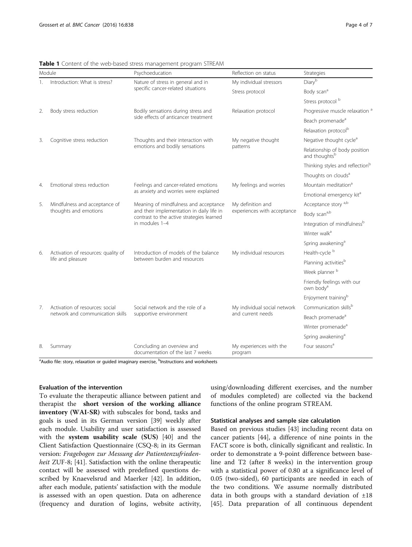| Module         |                                                                     | Psychoeducation                                                                                                                                   | Reflection on status                              | Strategies                                                 |  |
|----------------|---------------------------------------------------------------------|---------------------------------------------------------------------------------------------------------------------------------------------------|---------------------------------------------------|------------------------------------------------------------|--|
| $\mathbf{1}$ . | Introduction: What is stress?                                       | Nature of stress in general and in<br>specific cancer-related situations                                                                          | My individual stressors                           | Diary <sup>b</sup>                                         |  |
|                |                                                                     |                                                                                                                                                   | Stress protocol                                   | Body scan <sup>a</sup>                                     |  |
|                |                                                                     |                                                                                                                                                   |                                                   | Stress protocol b                                          |  |
| 2.             | Body stress reduction                                               | Bodily sensations during stress and<br>side effects of anticancer treatment                                                                       | Relaxation protocol                               | Progressive muscle relaxation <sup>a</sup>                 |  |
|                |                                                                     |                                                                                                                                                   |                                                   | Beach promenade <sup>a</sup>                               |  |
|                |                                                                     |                                                                                                                                                   |                                                   | Relaxation protocol <sup>b</sup>                           |  |
| 3.             | Cognitive stress reduction                                          | Thoughts and their interaction with<br>emotions and bodily sensations                                                                             | My negative thought<br>patterns                   | Negative thought cycle <sup>a</sup>                        |  |
|                |                                                                     |                                                                                                                                                   |                                                   | Relationship of body position<br>and thoughts <sup>b</sup> |  |
|                |                                                                     |                                                                                                                                                   |                                                   | Thinking styles and reflection <sup>b</sup>                |  |
|                |                                                                     |                                                                                                                                                   |                                                   | Thoughts on clouds <sup>a</sup>                            |  |
| 4.             | Emotional stress reduction                                          | Feelings and cancer-related emotions<br>as anxiety and worries were explained                                                                     | My feelings and worries                           | Mountain meditation <sup>a</sup>                           |  |
|                |                                                                     |                                                                                                                                                   |                                                   | Emotional emergency kit <sup>a</sup>                       |  |
| 5.             | Mindfulness and acceptance of<br>thoughts and emotions              | Meaning of mindfulness and acceptance<br>and their implementation in daily life in<br>contrast to the active strategies learned<br>in modules 1-4 | My definition and<br>experiences with acceptance  | Acceptance story a,b                                       |  |
|                |                                                                     |                                                                                                                                                   |                                                   | Body scana,b                                               |  |
|                |                                                                     |                                                                                                                                                   |                                                   | Integration of mindfulness <sup>b</sup>                    |  |
|                |                                                                     |                                                                                                                                                   |                                                   | Winter walk <sup>a</sup>                                   |  |
|                |                                                                     |                                                                                                                                                   |                                                   | Spring awakening <sup>a</sup>                              |  |
| 6.             | Activation of resources: quality of<br>life and pleasure            | Introduction of models of the balance<br>between burden and resources                                                                             | My individual resources                           | Health-cycle <sup>b</sup>                                  |  |
|                |                                                                     |                                                                                                                                                   |                                                   | Planning activities <sup>b</sup>                           |  |
|                |                                                                     |                                                                                                                                                   |                                                   | Week planner b                                             |  |
|                |                                                                     |                                                                                                                                                   |                                                   | Friendly feelings with our<br>own body <sup>a</sup>        |  |
|                |                                                                     |                                                                                                                                                   |                                                   | Enjoyment training <sup>b</sup>                            |  |
| 7 <sub>1</sub> | Activation of resources: social<br>network and communication skills | Social network and the role of a<br>supportive environment                                                                                        | My individual social network<br>and current needs | Communication skillsb                                      |  |
|                |                                                                     |                                                                                                                                                   |                                                   | Beach promenade <sup>a</sup>                               |  |
|                |                                                                     |                                                                                                                                                   |                                                   | Winter promenade <sup>a</sup>                              |  |
|                |                                                                     |                                                                                                                                                   |                                                   | Spring awakening <sup>a</sup>                              |  |
| 8.             | Summary                                                             | Concluding an overview and<br>documentation of the last 7 weeks                                                                                   | My experiences with the<br>program                | Four seasons <sup>a</sup>                                  |  |

<span id="page-3-0"></span>Table 1 Content of the web-based stress management program STREAM

<sup>a</sup>Audio file: story, relaxation or guided imaginary exercise, <sup>b</sup>Instructions and worksheets

#### Evaluation of the intervention

To evaluate the therapeutic alliance between patient and therapist the short version of the working alliance inventory (WAI-SR) with subscales for bond, tasks and goals is used in its German version [\[39](#page-6-0)] weekly after each module. Usability and user satisfaction is assessed with the system usability scale (SUS) [[40\]](#page-6-0) and the Client Satisfaction Questionnaire (CSQ-8; in its German version: Fragebogen zur Messung der Patientenzufrieden-heit ZUF-8; [[41](#page-6-0)]. Satisfaction with the online therapeutic contact will be assessed with predefined questions described by Knaevelsrud and Maerker [[42](#page-6-0)]. In addition, after each module, patients' satisfaction with the module is assessed with an open question. Data on adherence (frequency and duration of logins, website activity, using/downloading different exercises, and the number of modules completed) are collected via the backend functions of the online program STREAM.

#### Statistical analyses and sample size calculation

Based on previous studies [[43](#page-6-0)] including recent data on cancer patients [[44\]](#page-6-0), a difference of nine points in the FACT score is both, clinically significant and realistic. In order to demonstrate a 9-point difference between baseline and T2 (after 8 weeks) in the intervention group with a statistical power of 0.80 at a significance level of 0.05 (two-sided), 60 participants are needed in each of the two conditions. We assume normally distributed data in both groups with a standard deviation of  $\pm 18$ [[45\]](#page-6-0). Data preparation of all continuous dependent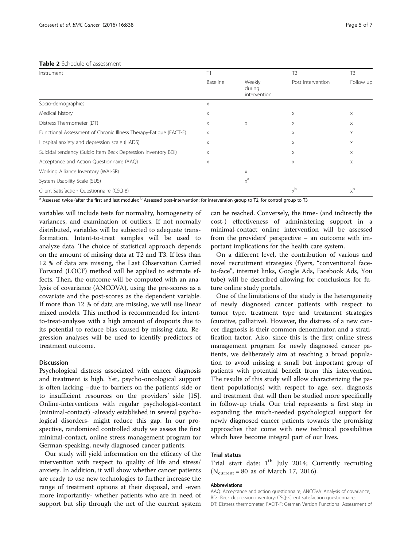<span id="page-4-0"></span>

| Instrument                                                        | Τ1       |                                  | T <sub>2</sub>    | T <sub>3</sub> |
|-------------------------------------------------------------------|----------|----------------------------------|-------------------|----------------|
|                                                                   | Baseline | Weekly<br>during<br>intervention | Post intervention | Follow up      |
| Socio-demographics                                                | X        |                                  |                   |                |
| Medical history                                                   | $\times$ |                                  | X                 | X              |
| Distress Thermometer (DT)                                         | X        | X                                | X                 | X              |
| Functional Assessment of Chronic Illness Therapy-Fatique (FACT-F) | $\times$ |                                  | X                 | X              |
| Hospital anxiety and depression scale (HADS)                      | X        |                                  | X                 | X              |
| Suicidal tendency (Suicid Item Beck Depression Inventory BDI)     | $\times$ |                                  | X                 | X              |
| Acceptance and Action Questionnaire (AAQ)                         | X        |                                  | X                 | Χ              |
| Working Alliance Inventory (WAI-SR)                               |          | Χ                                |                   |                |
| System Usability Scale (SUS)                                      |          | $x^a$                            |                   |                |
| Client Satisfaction Questionnaire (CSQ-8)                         |          |                                  | $x^b$             | $x^b$          |

<sup>a</sup> Assessed twice (after the first and last module); <sup>b</sup> Assessed post-intervention: for intervention group to T2, for control group to T3

variables will include tests for normality, homogeneity of variances, and examination of outliers. If not normally distributed, variables will be subjected to adequate transformation. Intent-to-treat samples will be used to analyze data. The choice of statistical approach depends on the amount of missing data at T2 and T3. If less than 12 % of data are missing, the Last Observation Carried Forward (LOCF) method will be applied to estimate effects. Then, the outcome will be computed with an analysis of covariance (ANCOVA), using the pre-scores as a covariate and the post-scores as the dependent variable. If more than 12 % of data are missing, we will use linear mixed models. This method is recommended for intentto-treat-analyses with a high amount of dropouts due to its potential to reduce bias caused by missing data. Regression analyses will be used to identify predictors of treatment outcome.

#### Discussion

Psychological distress associated with cancer diagnosis and treatment is high. Yet, psycho-oncological support is often lacking –due to barriers on the patients' side or to insufficient resources on the providers' side [\[15](#page-5-0)]. Online-interventions with regular psychologist-contact (minimal-contact) -already established in several psychological disorders- might reduce this gap. In our prospective, randomized controlled study we assess the first minimal-contact, online stress management program for German-speaking, newly diagnosed cancer patients.

Our study will yield information on the efficacy of the intervention with respect to quality of life and stress/ anxiety. In addition, it will show whether cancer patients are ready to use new technologies to further increase the range of treatment options at their disposal, and -even more importantly- whether patients who are in need of support but slip through the net of the current system

can be reached. Conversely, the time- (and indirectly the cost-) effectiveness of administering support in a minimal-contact online intervention will be assessed from the providers' perspective – an outcome with important implications for the health care system.

On a different level, the contribution of various and novel recruitment strategies (flyers, "conventional faceto-face", internet links, Google Ads, Facebook Ads, You tube) will be described allowing for conclusions for future online study portals.

One of the limitations of the study is the heterogeneity of newly diagnosed cancer patients with respect to tumor type, treatment type and treatment strategies (curative, palliative). However, the distress of a new cancer diagnosis is their common denominator, and a stratification factor. Also, since this is the first online stress management program for newly diagnosed cancer patients, we deliberately aim at reaching a broad population to avoid missing a small but important group of patients with potential benefit from this intervention. The results of this study will allow characterizing the patient population(s) with respect to age, sex, diagnosis and treatment that will then be studied more specifically in follow-up trials. Our trial represents a first step in expanding the much-needed psychological support for newly diagnosed cancer patients towards the promising approaches that come with new technical possibilities which have become integral part of our lives.

#### Trial status

Trial start date:  $1<sup>th</sup>$  July 2014; Currently recruiting ( $N_{\text{current}} = 80$  as of March 17, 2016).

#### Abbreviations

AAQ: Acceptance and action questionnaire; ANCOVA: Analysis of covariance; BDI: Beck depression inventory; CSQ: Client satisfaction questionnaire; DT: Distress thermometer; FACIT-F: German Version Functional Assessment of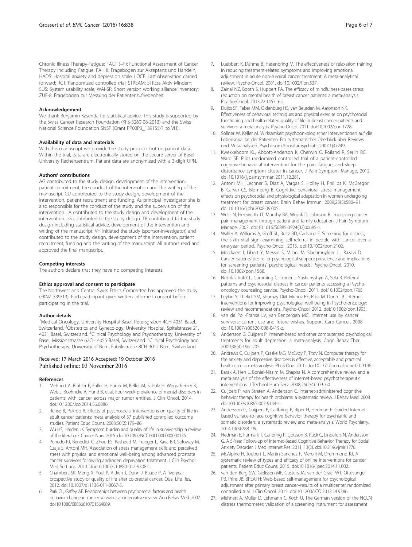<span id="page-5-0"></span>Chronic Illness Therapy-Fatigue; FACT (−F): Functional Assessment of Cancer Therapy including Fatigue; FAH II: Fragebogen zur Akzeptanz und Handeln; HADS: Hospital anxiety and depression scale; LOCF: Last observation carried forward; RCT: Randomized controlled trial; STREAM: STREss Aktiv Mindern; SUS: System usability scale; WAI-SR: Short version working alliance inventory; ZUF-8: Fragebogen zur Messung der Patientenzufriedenheit

#### Acknowledgement

We thank Benjamin Kasenda for statistical advice. This study is supported by the Swiss Cancer Research Foundation (KFS-3260-08-2013) and the Swiss National Science Foundation SNSF (Grant PP00P3\_139155/1 to VH).

#### Availability of data and materials

With this manuscript we provide the study protocol but no patient data. Within the trial, data are electronically stored on the secure server of Basel University Rechenzentrum. Patient data are anonymized with a 3-digit UPN.

#### Authors' contributions

AG contributed to the study design, development of the intervention, patient recruitment, the conduct of the intervention and the writing of the manuscript. CU contributed to the study design, development of the intervention, patient recruitment and funding. As principal investigator she is also responsible for the conduct of the study and the supervision of the intervention. JA contributed to the study design and development of the intervention. JG contributed to the study design. TB contributed to the study design including statistical advice, development of the intervention and writing of the manuscript. VH initiated the study (sponsor-investigator) and contributed to the study design, development of the intervention, patient recruitment, funding and the writing of the manuscript. All authors read and approved the final manuscript.

#### Competing interests

The authors declare that they have no competing interests.

#### Ethics approval and consent to participate

The Northwest and Central Swiss Ethics Committee has approved the study (EKNZ 339/13). Each participant gives written informed consent before participating in the trial.

#### Author details

<sup>1</sup>Medical Oncology, University Hospital Basel, Petersgraben 4CH 4031 Basel, Switzerland. <sup>2</sup>Obstetrics and Gynecology, University Hospital, Spitalstrasse 21, 4031 Basel, Switzerland. <sup>3</sup>Clinical Psychology and Psychotherapy, University of Basel, Missionsstrasse 62CH 4055 Basel, Switzerland. <sup>4</sup>Clinical Psychology and Psychotherapy, University of Bern, Fabrikstrasse 8CH 3012 Bern, Switzerland.

#### Received: 17 March 2016 Accepted: 19 October 2016 Published online: 03 November 2016

#### References

- 1. Mehnert A, Brähler E, Faller H, Härter M, Keller M, Schulz H, Wegscheider K, Weis J, Boehncke A, Hund B, et al. Four-week prevalence of mental disorders in patients with cancer across major tumor entities. J Clin Oncol. 2014. doi[:10.1200/Jco.2014.56.0086.](http://dx.doi.org/10.1200/Jco.2014.56.0086)
- 2. Rehse B, Pukrop R. Effects of psychosocial interventions on quality of life in adult cancer patients: meta analysis of 37 published controlled outcome studies. Patient Educ Couns. 2003;50(2):179–86.
- Wu HS, Harden JK. Symptom burden and quality of life in survivorship: a review of the literature. Cancer Nurs. 2015. doi[:10.1097/NCC.0000000000000135.](http://dx.doi.org/10.1097/NCC.0000000000000135)
- Penedo FJ, Benedict C, Zhou ES, Rasheed M, Traeger L, Kava BR, Soloway M, Czaja S, Antoni MH. Association of stress management skills and perceived stress with physical and emotional well-being among advanced prostrate cancer survivors following androgen deprivation treatment. J Clin Psychol Med Settings. 2013. doi:[10.1007/s10880-012-9308-1](http://dx.doi.org/10.1007/s10880-012-9308-1).
- 5. Chambers SK, Meng X, Youl P, Aitken J, Dunn J, Baade P. A five-year prospective study of quality of life after colorectal cancer. Qual Life Res. 2012. doi:[10.1007/s11136-011-0067-5](http://dx.doi.org/10.1007/s11136-011-0067-5).
- Park CL, Gaffey AE. Relationships between psychosocial factors and health behavior change in cancer survivors: an integrative review. Ann Behav Med. 2007. doi[:10.1080/08836610701564089.](http://dx.doi.org/10.1080/08836610701564089)
- 7. Luebbert K, Dahme B, Hasenbring M. The effectiveness of relaxation training in reducing treatment-related symptoms and improving emotional adjustment in acute non-surgical cancer treatment: A meta-analytical review. Psycho-Oncol. 2001. doi[:10.1002/Pon.537.](http://dx.doi.org/10.1002/Pon.537)
- 8. Zainal NZ, Booth S, Huppert FA. The efficacy of mindfulness-bases stress reduction on mental health of breast cancer patients: a meta-analysis. Psycho-Oncol. 2013;22:1457–65.
- 9. Duijts SF, Faber MM, Oldenburg HS, van Beurden M, Aaronson NK. Effectiveness of behavioral techniques and physical exercise on psychosocial functioning and health-related quality of life in breast cancer patients and survivors–a meta-analysis. Psycho-Oncol. 2011. doi[:10.1002/pon.1728](http://dx.doi.org/10.1002/pon.1728).
- 10. Söllner W, Keller M. Wirksamkeit psychoonkologischer Interventionen auf die Lebensqualitat der Patienten. Ein systematischer Überblick über Reviews und Metaanalysen. Psychosom Konsiliarpsychiatr. 2007;1(4):249.
- 11. Kwekkeboom KL, Abbott-Anderson K, Cherwin C, Roiland R, Serlin RC, Ward SE. Pilot randomized controlled trial of a patient-controlled cognitive-behavioral intervention for the pain, fatigue, and sleep disturbance symptom cluster in cancer. J Pain Symptom Manage. 2012. doi[:10.1016/j.jpainsymman.2011.12.281.](http://dx.doi.org/10.1016/j.jpainsymman.2011.12.281)
- 12. Antoni MH, Lechner S, Diaz A, Vargas S, Holley H, Phillips K, McGregor B, Carver CS, Blomberg B. Cognitive behavioral stress management effects on psychosocial and physiological adaptation in women undergoing treatment for breast cancer. Brain Behav Immun. 2009;23(5):580–91. doi[:10.1016/j.bbi.2008.09.005.](http://dx.doi.org/10.1016/j.bbi.2008.09.005)
- 13. Wells N, Hepworth JT, Murphy BA, Wujcik D, Johnson R. Improving cancer pain management through patient and family education. J Pain Symptom Manage. 2003. doi[:10.1016/S0885-3924\(02\)00685-1](http://dx.doi.org/10.1016/S0885-3924(02)00685-1).
- 14. Waller A, Williams A, Groff SL, Bultz BD, Carlson LE. Screening for distress, the sixth vital sign: examining self-referral in people with cancer over a one-year period. Psycho-Oncol. 2013. doi[:10.1002/pon.2102](http://dx.doi.org/10.1002/pon.2102).
- 15. Merckaert I, Libert Y, Messin S, Milani M, Slachmuylder JL, Razavi D. Cancer patients' desire for psychological support: prevalence and implications for screening patients' psychological needs. Psycho-Oncol. 2010. doi[:10.1002/pon.1568](http://dx.doi.org/10.1002/pon.1568).
- 16. Nekolaichuk CL, Cumming C, Turner J, Yushchyshyn A, Sela R. Referral patterns and psychosocial distress in cancer patients accessing a Psychooncology counseling service. Psycho-Oncol. 2011. doi:[10.1002/pon.1765](http://dx.doi.org/10.1002/pon.1765).
- 17. Leykin Y, Thekdi SM, Shumay DM, Munoz RF, Riba M, Dunn LB. Internet interventions for improving psychological well-being in Psycho-oncology: review and recommendations. Psycho-Oncol. 2012. doi[:10.1002/pon.1993.](http://dx.doi.org/10.1002/pon.1993)
- 18. van de Poll-Franse LV, van Eenbergen MC. Internet use by cancer survivors: current use and future wishes. Support Care Cancer. 2008. doi[:10.1007/s00520-008-0419-z](http://dx.doi.org/10.1007/s00520-008-0419-z).
- 19. Andersson G, Cuijpers P. Internet-based and other computerized psychological treatments for adult depression: a meta-analysis. Cogn Behav Ther. 2009;38(4):196–205.
- 20. Andrews G, Cuijpers P, Craske MG, McEvoy P, Titov N. Computer therapy for the anxiety and depressive disorders is effective, acceptable and practical health care: a meta-analysis. PLoS One. 2010. doi:[10.1371/journal.pone.0013196.](http://dx.doi.org/10.1371/journal.pone.0013196)
- 21. Barak A, Hen L, Boniel-Nissim M, Shapira N. A comprehensive review and a meta-analysis of the effectiveness of internet-based psychotherapeutic interventions. J Technol Hum Serv. 2008;26(2/4):109–60.
- 22. Cuijpers P, van Straten A, Andersson G. Internet-administered cognitive behavior therapy for health problems: a systematic review. J Behav Med. 2008. doi:[10.1007/s10865-007-9144-1.](http://dx.doi.org/10.1007/s10865-007-9144-1)
- 23. Andersson G, Cuijpers P, Carlbring P, Riper H, Hedman E. Guided Internetbased vs. face-to-face cognitive behavior therapy for psychiatric and somatic disorders: a systematic review and meta-analysis. World Psychiatry. 2014;13(3):288–95.
- 24. Hedman E, Furmark T, Carlbring P, Ljotsson B, Ruck C, Lindefors N, Andersson G. A 5-Year Follow-up of Internet-Based Cognitive Behavior Therapy for Social Anxiety Disorder. J Med Internet Res. 2011; 13(2). doi:[10.2196/jmir.1776.](http://dx.doi.org/10.2196/jmir.1776)
- 25. McAlpine H, Joubert L, Martin-Sanchez F, Merolli M, Drummond KJ. A systematic review of types and efficacy of online interventions for cancer patients. Patient Educ Couns. 2015. doi[:10.1016/j.pec.2014.11.002.](http://dx.doi.org/10.1016/j.pec.2014.11.002)
- 26. van den Berg SW, Gielissen MF, Custers JA, van der Graaf WT, Ottevanger PB, Prins JB. BREATH: Web-based self-management for psychological adjustment after primary breast cancer–results of a multicenter randomized controlled trial. J Clin Oncol. 2015. doi:[10.1200/JCO.2013.54.9386.](http://dx.doi.org/10.1200/JCO.2013.54.9386)
- 27. Mehnert A, Müller D, Lehmann C, Koch U. The German version of the NCCN distress thermometer: validation of a screening instrument for assessment